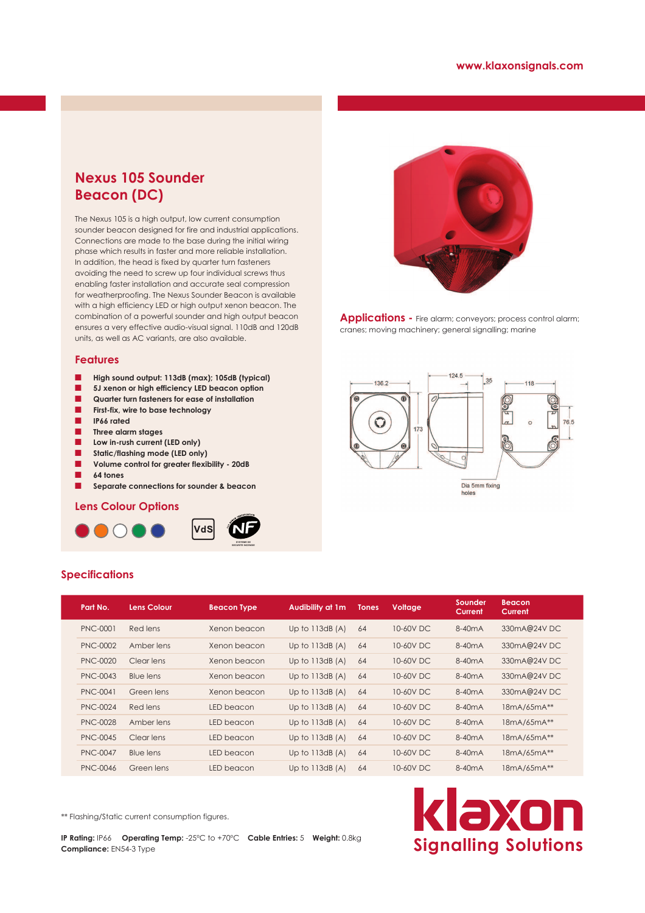## **Nexus 105 Sounder Beacon (DC)**

The Nexus 105 is a high output, low current consumption sounder beacon designed for fire and industrial applications. Connections are made to the base during the initial wiring phase which results in faster and more reliable installation. In addition, the head is fixed by quarter turn fasteners avoiding the need to screw up four individual screws thus enabling faster installation and accurate seal compression for weatherproofing. The Nexus Sounder Beacon is available with a high efficiency LED or high output xenon beacon. The combination of a powerful sounder and high output beacon ensures a very effective audio-visual signal. 110dB and 120dB units, as well as AC variants, are also available.

#### **Features**

- Q **High sound output: 113dB (max); 105dB (typical)**
- $\blacksquare$  5J xenon or high efficiency LED beacon option
- Q **Quarter turn fasteners for ease of installation**
- Q **First-fix, wire to base technology**
- Q **IP66 rated**
- Q **Three alarm stages**
- Low in-rush current (LED only)
- Q **Static/flashing mode (LED only)**
- **L** Volume control for greater flexibility 20dB
- Q **64 tones**

**Specifications**

**Separate connections for sounder & beacon** 

### **Lens Colour Options**







Applications - Fire alarm; conveyors; process control alarm; cranes; moving machinery; general signalling; marine



|  | Part No.        | <b>Lens Colour</b> | <b>Beacon Type</b> | Audibility at 1m | <b>Tones</b> | <b>Voltage</b> | Sounder<br>Current  | <b>Beacon</b><br>Current |
|--|-----------------|--------------------|--------------------|------------------|--------------|----------------|---------------------|--------------------------|
|  | PNC-0001        | Red lens           | Xenon beacon       | Up to $113dB(A)$ | 64           | 10-60V DC      | 8-40 <sub>m</sub> A | 330mA@24VDC              |
|  | PNC-0002        | Amber lens         | Xenon beacon       | Up to $113dB(A)$ | 64           | 10-60V DC      | 8-40 <sub>m</sub> A | 330mA@24VDC              |
|  | <b>PNC-0020</b> | Clear lens         | Xenon beacon       | Up to $113dB(A)$ | 64           | 10-60V DC      | 8-40 <sub>m</sub> A | 330mA@24VDC              |
|  | PNC-0043        | <b>Blue lens</b>   | Xenon beacon       | Up to $113dB(A)$ | 64           | 10-60V DC      | 8-40 <sub>m</sub> A | 330mA@24VDC              |
|  | <b>PNC-0041</b> | Green lens         | Xenon beacon       | Up to $113dB(A)$ | 64           | 10-60V DC      | 8-40 <sub>m</sub> A | 330mA@24VDC              |
|  | PNC-0024        | Red lens           | LED beacon         | Up to $113dB(A)$ | 64           | 10-60V DC      | 8-40 <sub>m</sub> A | 18mA/65mA**              |
|  | <b>PNC-0028</b> | Amber lens         | LED beacon         | Up to $113dB(A)$ | 64           | 10-60V DC      | 8-40 <sub>m</sub> A | 18mA/65mA**              |
|  | PNC-0045        | Clear lens         | LED beacon         | Up to $113dB(A)$ | 64           | 10-60V DC      | 8-40 <sub>m</sub> A | 18mA/65mA**              |
|  | <b>PNC-0047</b> | Blue lens          | LED beacon         | Up to $113dB(A)$ | 64           | 10-60V DC      | 8-40 <sub>m</sub> A | 18mA/65mA**              |
|  | <b>PNC-0046</b> | Green lens         | LED beacon         | Up to $113dB(A)$ | 64           | 10-60V DC      | 8-40 <sub>m</sub> A | 18mA/65mA**              |

\*\* Flashing/Static current consumption figures.

**IP Rating:** IP66 **Operating Temp:** -25ºC to +70ºC **Cable Entries:** 5 **Weight:** 0.8kg **Compliance:** EN54-3 Type

# klaxon **Signalling Solutions**